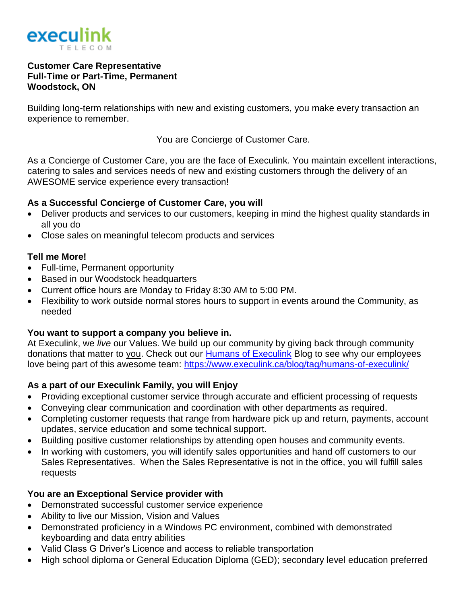

#### **Customer Care Representative Full-Time or Part-Time, Permanent Woodstock, ON**

Building long-term relationships with new and existing customers, you make every transaction an experience to remember.

You are Concierge of Customer Care.

As a Concierge of Customer Care, you are the face of Execulink. You maintain excellent interactions, catering to sales and services needs of new and existing customers through the delivery of an AWESOME service experience every transaction!

## **As a Successful Concierge of Customer Care, you will**

- Deliver products and services to our customers, keeping in mind the highest quality standards in all you do
- Close sales on meaningful telecom products and services

## **Tell me More!**

- Full-time, Permanent opportunity
- Based in our Woodstock headquarters
- Current office hours are Monday to Friday 8:30 AM to 5:00 PM.
- Flexibility to work outside normal stores hours to support in events around the Community, as needed

# **You want to support a company you believe in.**

At Execulink, we *live* our Values. We build up our community by giving back through community donations that matter to you. Check out our [Humans of Execulink](https://www.execulink.ca/blog/tag/humans-of-execulink/) Blog to see why our employees love being part of this awesome team: <https://www.execulink.ca/blog/tag/humans-of-execulink/>

# **As a part of our Execulink Family, you will Enjoy**

- Providing exceptional customer service through accurate and efficient processing of requests
- Conveying clear communication and coordination with other departments as required.
- Completing customer requests that range from hardware pick up and return, payments, account updates, service education and some technical support.
- Building positive customer relationships by attending open houses and community events.
- In working with customers, you will identify sales opportunities and hand off customers to our Sales Representatives. When the Sales Representative is not in the office, you will fulfill sales requests

# **You are an Exceptional Service provider with**

- Demonstrated successful customer service experience
- Ability to live our Mission, Vision and Values
- Demonstrated proficiency in a Windows PC environment, combined with demonstrated keyboarding and data entry abilities
- Valid Class G Driver's Licence and access to reliable transportation
- High school diploma or General Education Diploma (GED); secondary level education preferred